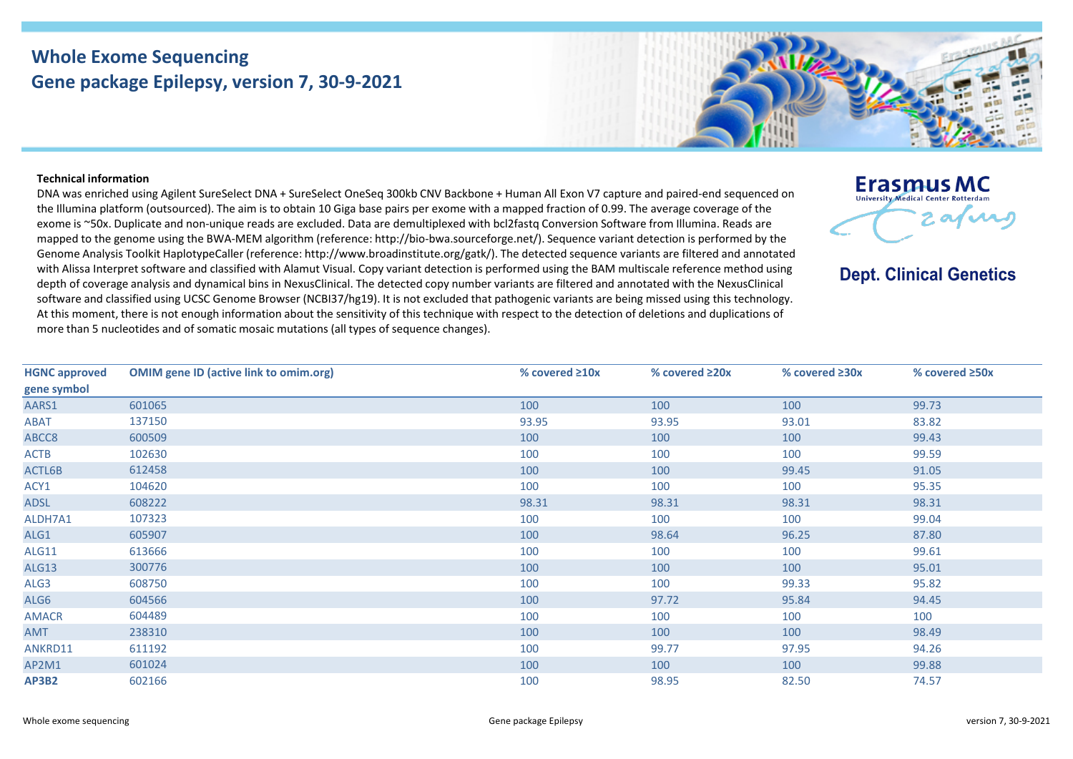## **Whole Exome Sequencing Gene package Epilepsy, version 7, 30-9-2021**



## **Technical information**

DNA was enriched using Agilent SureSelect DNA + SureSelect OneSeq 300kb CNV Backbone + Human All Exon V7 capture and paired-end sequenced on the Illumina platform (outsourced). The aim is to obtain 10 Giga base pairs per exome with a mapped fraction of 0.99. The average coverage of the exome is ~50x. Duplicate and non-unique reads are excluded. Data are demultiplexed with bcl2fastq Conversion Software from Illumina. Reads are mapped to the genome using the BWA-MEM algorithm (reference: http://bio-bwa.sourceforge.net/). Sequence variant detection is performed by the Genome Analysis Toolkit HaplotypeCaller (reference: http://www.broadinstitute.org/gatk/). The detected sequence variants are filtered and annotated with Alissa Interpret software and classified with Alamut Visual. Copy variant detection is performed using the BAM multiscale reference method using depth of coverage analysis and dynamical bins in NexusClinical. The detected copy number variants are filtered and annotated with the NexusClinical software and classified using UCSC Genome Browser (NCBI37/hg19). It is not excluded that pathogenic variants are being missed using this technology. At this moment, there is not enough information about the sensitivity of this technique with respect to the detection of deletions and duplications of more than 5 nucleotides and of somatic mosaic mutations (all types of sequence changes).



**Dept. Clinical Genetics** 

| <b>HGNC approved</b> | <b>OMIM gene ID (active link to omim.org)</b> | % covered $\geq 10x$ | % covered ≥20x | % covered ≥30x | % covered $\geq$ 50x |
|----------------------|-----------------------------------------------|----------------------|----------------|----------------|----------------------|
| gene symbol          |                                               |                      |                |                |                      |
| AARS1                | 601065                                        | 100                  | 100            | 100            | 99.73                |
| ABAT                 | 137150                                        | 93.95                | 93.95          | 93.01          | 83.82                |
| ABCC8                | 600509                                        | 100                  | 100            | 100            | 99.43                |
| <b>ACTB</b>          | 102630                                        | 100                  | 100            | 100            | 99.59                |
| ACTL6B               | 612458                                        | 100                  | 100            | 99.45          | 91.05                |
| ACY1                 | 104620                                        | 100                  | 100            | 100            | 95.35                |
| <b>ADSL</b>          | 608222                                        | 98.31                | 98.31          | 98.31          | 98.31                |
| ALDH7A1              | 107323                                        | 100                  | 100            | 100            | 99.04                |
| ALG1                 | 605907                                        | 100                  | 98.64          | 96.25          | 87.80                |
| <b>ALG11</b>         | 613666                                        | 100                  | 100            | 100            | 99.61                |
| <b>ALG13</b>         | 300776                                        | 100                  | 100            | 100            | 95.01                |
| ALG3                 | 608750                                        | 100                  | 100            | 99.33          | 95.82                |
| ALG6                 | 604566                                        | 100                  | 97.72          | 95.84          | 94.45                |
| <b>AMACR</b>         | 604489                                        | 100                  | 100            | 100            | 100                  |
| <b>AMT</b>           | 238310                                        | 100                  | 100            | 100            | 98.49                |
| ANKRD11              | 611192                                        | 100                  | 99.77          | 97.95          | 94.26                |
| AP2M1                | 601024                                        | 100                  | 100            | 100            | 99.88                |
| <b>AP3B2</b>         | 602166                                        | 100                  | 98.95          | 82.50          | 74.57                |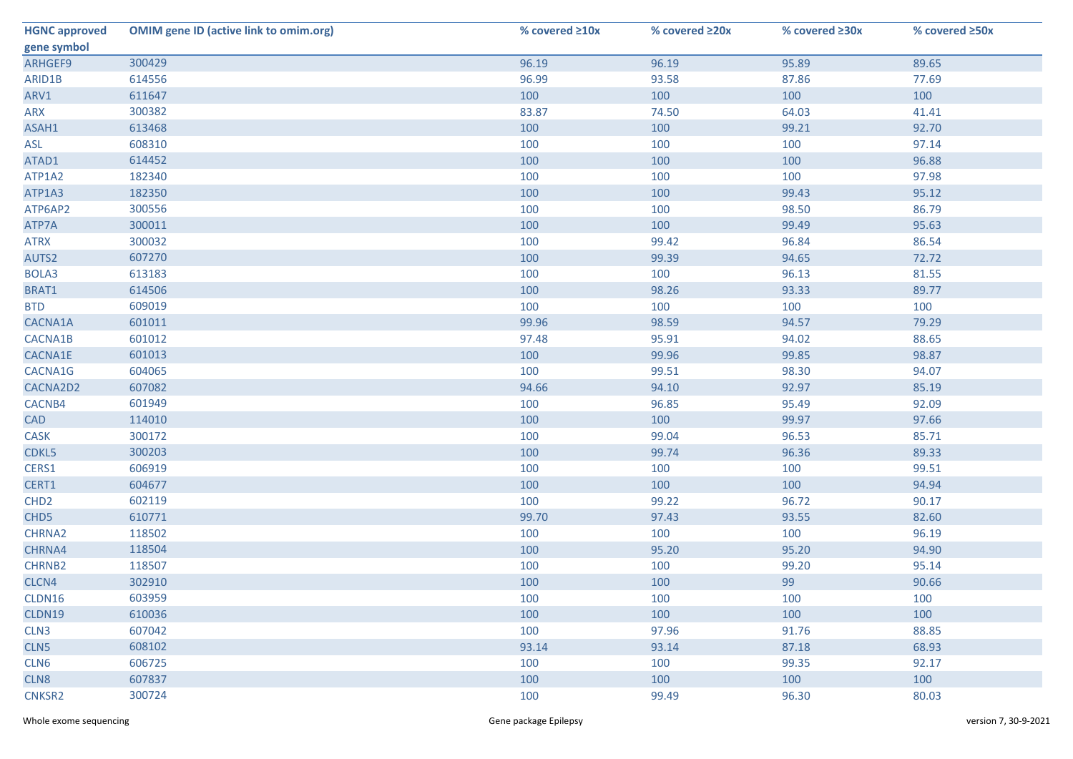| <b>HGNC approved</b> | <b>OMIM gene ID (active link to omim.org)</b> | % covered ≥10x | % covered ≥20x | % covered ≥30x | % covered ≥50x |
|----------------------|-----------------------------------------------|----------------|----------------|----------------|----------------|
| gene symbol          |                                               |                |                |                |                |
| ARHGEF9              | 300429                                        | 96.19          | 96.19          | 95.89          | 89.65          |
| ARID1B               | 614556                                        | 96.99          | 93.58          | 87.86          | 77.69          |
| ARV1                 | 611647                                        | 100            | 100            | 100            | 100            |
| ARX                  | 300382                                        | 83.87          | 74.50          | 64.03          | 41.41          |
| ASAH1                | 613468                                        | 100            | 100            | 99.21          | 92.70          |
| ASL                  | 608310                                        | 100            | 100            | 100            | 97.14          |
| ATAD1                | 614452                                        | 100            | 100            | 100            | 96.88          |
| ATP1A2               | 182340                                        | 100            | 100            | 100            | 97.98          |
| ATP1A3               | 182350                                        | 100            | 100            | 99.43          | 95.12          |
| ATP6AP2              | 300556                                        | 100            | 100            | 98.50          | 86.79          |
| ATP7A                | 300011                                        | 100            | 100            | 99.49          | 95.63          |
| <b>ATRX</b>          | 300032                                        | 100            | 99.42          | 96.84          | 86.54          |
| AUTS2                | 607270                                        | 100            | 99.39          | 94.65          | 72.72          |
| BOLA3                | 613183                                        | 100            | 100            | 96.13          | 81.55          |
| BRAT1                | 614506                                        | 100            | 98.26          | 93.33          | 89.77          |
| <b>BTD</b>           | 609019                                        | 100            | 100            | 100            | 100            |
| CACNA1A              | 601011                                        | 99.96          | 98.59          | 94.57          | 79.29          |
| CACNA1B              | 601012                                        | 97.48          | 95.91          | 94.02          | 88.65          |
| CACNA1E              | 601013                                        | 100            | 99.96          | 99.85          | 98.87          |
| CACNA1G              | 604065                                        | 100            | 99.51          | 98.30          | 94.07          |
| CACNA2D2             | 607082                                        | 94.66          | 94.10          | 92.97          | 85.19          |
| CACNB4               | 601949                                        | 100            | 96.85          | 95.49          | 92.09          |
| <b>CAD</b>           | 114010                                        | 100            | 100            | 99.97          | 97.66          |
| CASK                 | 300172                                        | 100            | 99.04          | 96.53          | 85.71          |
| CDKL5                | 300203                                        | 100            | 99.74          | 96.36          | 89.33          |
| CERS1                | 606919                                        | 100            | 100            | 100            | 99.51          |
| CERT1                | 604677                                        | 100            | 100            | 100            | 94.94          |
| CHD <sub>2</sub>     | 602119                                        | 100            | 99.22          | 96.72          | 90.17          |
| CHD <sub>5</sub>     | 610771                                        | 99.70          | 97.43          | 93.55          | 82.60          |
| CHRNA2               | 118502                                        | 100            | 100            | 100            | 96.19          |
| CHRNA4               | 118504                                        | 100            | 95.20          | 95.20          | 94.90          |
| <b>CHRNB2</b>        | 118507                                        | 100            | 100            | 99.20          | 95.14          |
| CLCN4                | 302910                                        | 100            | 100            | 99             | 90.66          |
| CLDN16               | 603959                                        | 100            | 100            | 100            | 100            |
| CLDN19               | 610036                                        | 100            | 100            | 100            | 100            |
| CLN3                 | 607042                                        | 100            | 97.96          | 91.76          | 88.85          |
| CLN5                 | 608102                                        | 93.14          | 93.14          | 87.18          | 68.93          |
| CLN6                 | 606725                                        | 100            | 100            | 99.35          | 92.17          |
| CLN8                 | 607837                                        | 100            | 100            | 100            | 100            |
| CNKSR2               | 300724                                        | 100            | 99.49          | 96.30          | 80.03          |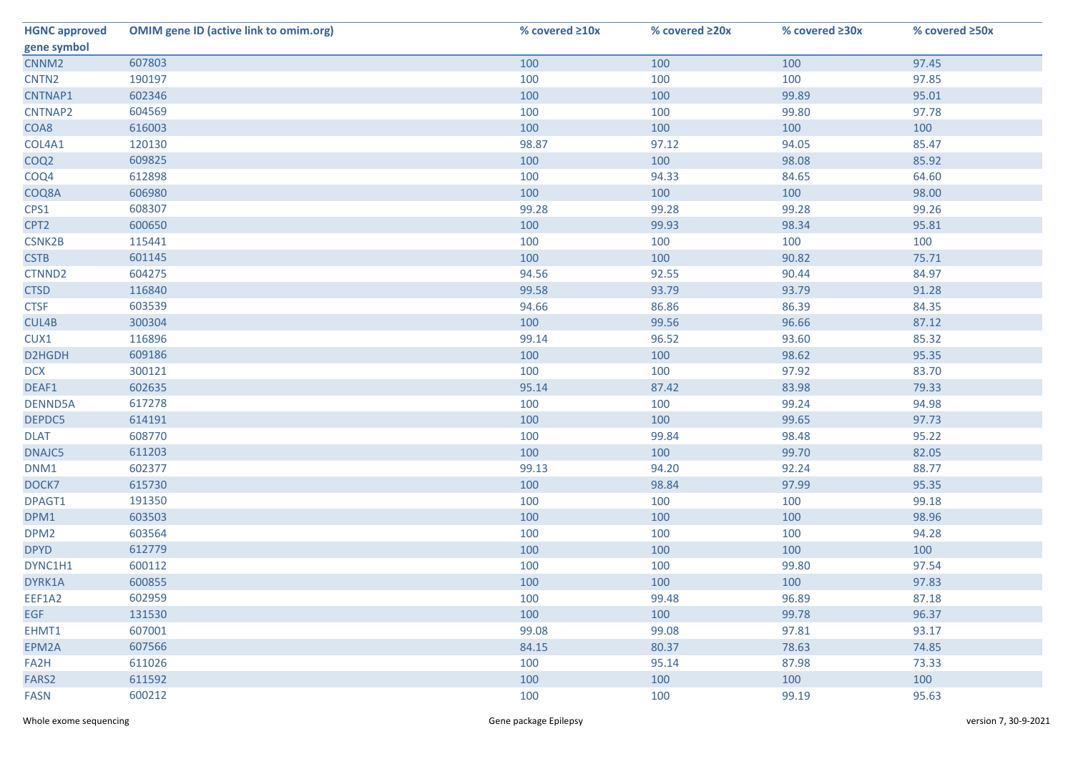| <b>HGNC approved</b> | <b>OMIM gene ID (active link to omim.org)</b> | % covered ≥10x | % covered ≥20x | % covered $\geq 30x$ | % covered ≥50x |
|----------------------|-----------------------------------------------|----------------|----------------|----------------------|----------------|
| gene symbol          |                                               |                |                |                      |                |
| CNNM <sub>2</sub>    | 607803                                        | 100            | 100            | 100                  | 97.45          |
| CNTN <sub>2</sub>    | 190197                                        | 100            | 100            | 100                  | 97.85          |
| CNTNAP1              | 602346                                        | 100            | 100            | 99.89                | 95.01          |
| CNTNAP2              | 604569                                        | 100            | 100            | 99.80                | 97.78          |
| COA8                 | 616003                                        | 100            | 100            | 100                  | 100            |
| COL4A1               | 120130                                        | 98.87          | 97.12          | 94.05                | 85.47          |
| COQ <sub>2</sub>     | 609825                                        | 100            | 100            | 98.08                | 85.92          |
| COQ4                 | 612898                                        | 100            | 94.33          | 84.65                | 64.60          |
| COQ8A                | 606980                                        | 100            | 100            | 100                  | 98.00          |
| CPS1                 | 608307                                        | 99.28          | 99.28          | 99.28                | 99.26          |
| CPT <sub>2</sub>     | 600650                                        | 100            | 99.93          | 98.34                | 95.81          |
| <b>CSNK2B</b>        | 115441                                        | 100            | 100            | 100                  | 100            |
| <b>CSTB</b>          | 601145                                        | 100            | 100            | 90.82                | 75.71          |
| CTNND2               | 604275                                        | 94.56          | 92.55          | 90.44                | 84.97          |
| <b>CTSD</b>          | 116840                                        | 99.58          | 93.79          | 93.79                | 91.28          |
| <b>CTSF</b>          | 603539                                        | 94.66          | 86.86          | 86.39                | 84.35          |
| CUL4B                | 300304                                        | 100            | 99.56          | 96.66                | 87.12          |
| CUX1                 | 116896                                        | 99.14          | 96.52          | 93.60                | 85.32          |
| D2HGDH               | 609186                                        | 100            | 100            | 98.62                | 95.35          |
| <b>DCX</b>           | 300121                                        | 100            | 100            | 97.92                | 83.70          |
| DEAF1                | 602635                                        | 95.14          | 87.42          | 83.98                | 79.33          |
| DENND5A              | 617278                                        | 100            | 100            | 99.24                | 94.98          |
| DEPDC5               | 614191                                        | 100            | 100            | 99.65                | 97.73          |
| <b>DLAT</b>          | 608770                                        | 100            | 99.84          | 98.48                | 95.22          |
| DNAJC5               | 611203                                        | 100            | 100            | 99.70                | 82.05          |
| DNM1                 | 602377                                        | 99.13          | 94.20          | 92.24                | 88.77          |
| DOCK7                | 615730                                        | 100            | 98.84          | 97.99                | 95.35          |
| DPAGT1               | 191350                                        | 100            | 100            | 100                  | 99.18          |
| DPM1                 | 603503                                        | 100            | 100            | 100                  | 98.96          |
| DPM <sub>2</sub>     | 603564                                        | 100            | 100            | 100                  | 94.28          |
| <b>DPYD</b>          | 612779                                        | 100            | 100            | 100                  | 100            |
| DYNC1H1              | 600112                                        | 100            | 100            | 99.80                | 97.54          |
| DYRK1A               | 600855                                        | 100            | 100            | 100                  | 97.83          |
| EEF1A2               | 602959                                        | 100            | 99.48          | 96.89                | 87.18          |
| <b>EGF</b>           | 131530                                        | 100            | 100            | 99.78                | 96.37          |
| EHMT1                | 607001                                        | 99.08          | 99.08          | 97.81                | 93.17          |
| EPM2A                | 607566                                        | 84.15          | 80.37          | 78.63                | 74.85          |
| FA2H                 | 611026                                        | 100            | 95.14          | 87.98                | 73.33          |
| FARS <sub>2</sub>    | 611592                                        | 100            | 100            | 100                  | 100            |
| <b>FASN</b>          | 600212                                        | 100            | 100            | 99.19                | 95.63          |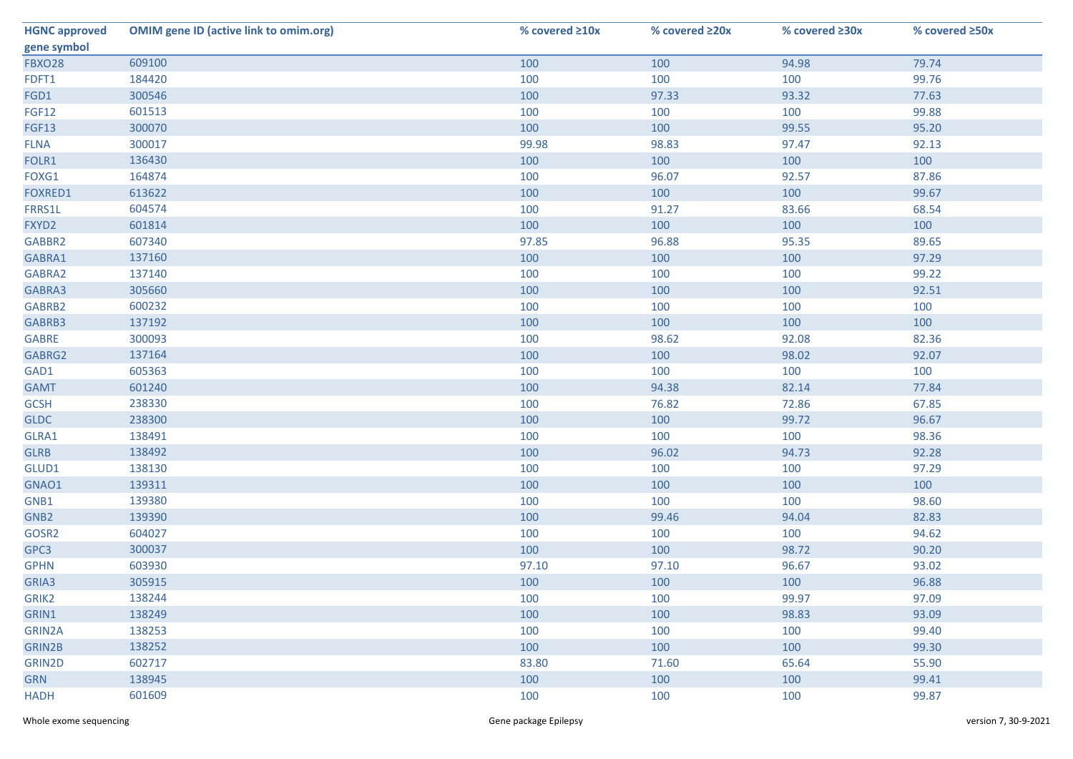| <b>HGNC approved</b> | <b>OMIM gene ID (active link to omim.org)</b> | % covered ≥10x | % covered ≥20x | % covered ≥30x | % covered ≥50x |
|----------------------|-----------------------------------------------|----------------|----------------|----------------|----------------|
| gene symbol          |                                               |                |                |                |                |
| <b>FBXO28</b>        | 609100                                        | 100            | 100            | 94.98          | 79.74          |
| FDFT1                | 184420                                        | 100            | 100            | 100            | 99.76          |
| FGD1                 | 300546                                        | 100            | 97.33          | 93.32          | 77.63          |
| <b>FGF12</b>         | 601513                                        | 100            | 100            | 100            | 99.88          |
| <b>FGF13</b>         | 300070                                        | 100            | 100            | 99.55          | 95.20          |
| <b>FLNA</b>          | 300017                                        | 99.98          | 98.83          | 97.47          | 92.13          |
| FOLR1                | 136430                                        | 100            | 100            | 100            | 100            |
| FOXG1                | 164874                                        | 100            | 96.07          | 92.57          | 87.86          |
| FOXRED1              | 613622                                        | 100            | 100            | 100            | 99.67          |
| FRRS1L               | 604574                                        | 100            | 91.27          | 83.66          | 68.54          |
| FXYD2                | 601814                                        | 100            | 100            | 100            | 100            |
| GABBR2               | 607340                                        | 97.85          | 96.88          | 95.35          | 89.65          |
| GABRA1               | 137160                                        | 100            | 100            | 100            | 97.29          |
| GABRA2               | 137140                                        | 100            | 100            | 100            | 99.22          |
| GABRA3               | 305660                                        | 100            | 100            | 100            | 92.51          |
| GABRB2               | 600232                                        | 100            | 100            | 100            | 100            |
| GABRB3               | 137192                                        | 100            | 100            | 100            | 100            |
| <b>GABRE</b>         | 300093                                        | 100            | 98.62          | 92.08          | 82.36          |
| GABRG2               | 137164                                        | 100            | 100            | 98.02          | 92.07          |
| GAD1                 | 605363                                        | 100            | 100            | 100            | 100            |
| <b>GAMT</b>          | 601240                                        | 100            | 94.38          | 82.14          | 77.84          |
| <b>GCSH</b>          | 238330                                        | 100            | 76.82          | 72.86          | 67.85          |
| <b>GLDC</b>          | 238300                                        | 100            | 100            | 99.72          | 96.67          |
| GLRA1                | 138491                                        | 100            | 100            | 100            | 98.36          |
| <b>GLRB</b>          | 138492                                        | 100            | 96.02          | 94.73          | 92.28          |
| GLUD1                | 138130                                        | 100            | 100            | 100            | 97.29          |
| GNAO1                | 139311                                        | 100            | 100            | 100            | 100            |
| GNB1                 | 139380                                        | 100            | 100            | 100            | 98.60          |
| GNB <sub>2</sub>     | 139390                                        | 100            | 99.46          | 94.04          | 82.83          |
| GOSR2                | 604027                                        | 100            | 100            | 100            | 94.62          |
| GPC3                 | 300037                                        | 100            | 100            | 98.72          | 90.20          |
| <b>GPHN</b>          | 603930                                        | 97.10          | 97.10          | 96.67          | 93.02          |
| GRIA3                | 305915                                        | 100            | 100            | 100            | 96.88          |
| GRIK2                | 138244                                        | 100            | 100            | 99.97          | 97.09          |
| GRIN1                | 138249                                        | 100            | 100            | 98.83          | 93.09          |
| GRIN2A               | 138253                                        | 100            | 100            | 100            | 99.40          |
| <b>GRIN2B</b>        | 138252                                        | 100            | 100            | 100            | 99.30          |
| GRIN2D               | 602717                                        | 83.80          | 71.60          | 65.64          | 55.90          |
| <b>GRN</b>           | 138945                                        | 100            | 100            | 100            | 99.41          |
| <b>HADH</b>          | 601609                                        | 100            | 100            | 100            | 99.87          |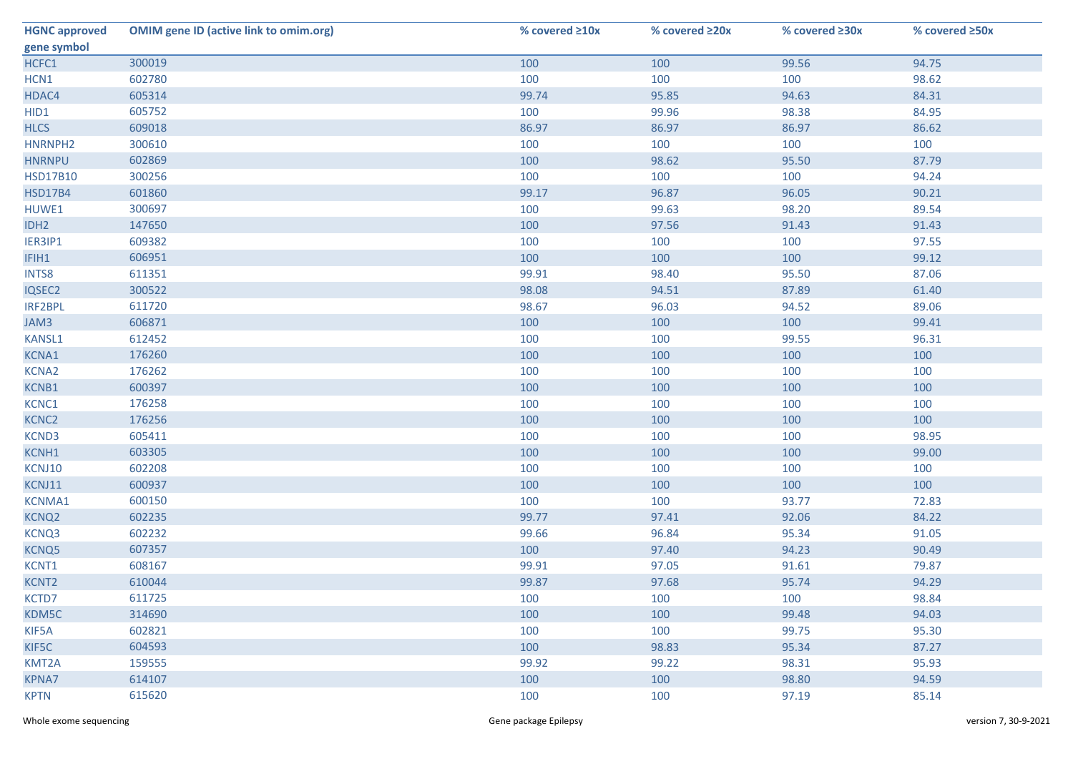| <b>HGNC approved</b> | <b>OMIM gene ID (active link to omim.org)</b> | % covered ≥10x | % covered ≥20x | % covered ≥30x | % covered ≥50x |
|----------------------|-----------------------------------------------|----------------|----------------|----------------|----------------|
| gene symbol          |                                               |                |                |                |                |
| HCFC1                | 300019                                        | 100            | 100            | 99.56          | 94.75          |
| HCN1                 | 602780                                        | 100            | 100            | 100            | 98.62          |
| HDAC4                | 605314                                        | 99.74          | 95.85          | 94.63          | 84.31          |
| HID1                 | 605752                                        | 100            | 99.96          | 98.38          | 84.95          |
| <b>HLCS</b>          | 609018                                        | 86.97          | 86.97          | 86.97          | 86.62          |
| HNRNPH2              | 300610                                        | 100            | 100            | 100            | 100            |
| <b>HNRNPU</b>        | 602869                                        | 100            | 98.62          | 95.50          | 87.79          |
| <b>HSD17B10</b>      | 300256                                        | 100            | 100            | 100            | 94.24          |
| <b>HSD17B4</b>       | 601860                                        | 99.17          | 96.87          | 96.05          | 90.21          |
| HUWE1                | 300697                                        | 100            | 99.63          | 98.20          | 89.54          |
| IDH <sub>2</sub>     | 147650                                        | 100            | 97.56          | 91.43          | 91.43          |
| IER3IP1              | 609382                                        | 100            | 100            | 100            | 97.55          |
| IFIH1                | 606951                                        | 100            | 100            | 100            | 99.12          |
| <b>INTS8</b>         | 611351                                        | 99.91          | 98.40          | 95.50          | 87.06          |
| IQSEC2               | 300522                                        | 98.08          | 94.51          | 87.89          | 61.40          |
| IRF2BPL              | 611720                                        | 98.67          | 96.03          | 94.52          | 89.06          |
| JAM3                 | 606871                                        | 100            | 100            | 100            | 99.41          |
| KANSL1               | 612452                                        | 100            | 100            | 99.55          | 96.31          |
| KCNA1                | 176260                                        | 100            | 100            | 100            | 100            |
| <b>KCNA2</b>         | 176262                                        | 100            | 100            | 100            | 100            |
| KCNB1                | 600397                                        | 100            | 100            | 100            | 100            |
| KCNC1                | 176258                                        | 100            | 100            | 100            | 100            |
| KCNC <sub>2</sub>    | 176256                                        | 100            | 100            | 100            | 100            |
| KCND3                | 605411                                        | 100            | 100            | 100            | 98.95          |
| KCNH1                | 603305                                        | 100            | 100            | 100            | 99.00          |
| KCNJ10               | 602208                                        | 100            | 100            | 100            | 100            |
| KCNJ11               | 600937                                        | 100            | 100            | 100            | 100            |
| <b>KCNMA1</b>        | 600150                                        | 100            | 100            | 93.77          | 72.83          |
| KCNQ <sub>2</sub>    | 602235                                        | 99.77          | 97.41          | 92.06          | 84.22          |
| KCNQ3                | 602232                                        | 99.66          | 96.84          | 95.34          | 91.05          |
| KCNQ5                | 607357                                        | 100            | 97.40          | 94.23          | 90.49          |
| KCNT1                | 608167                                        | 99.91          | 97.05          | 91.61          | 79.87          |
| KCNT2                | 610044                                        | 99.87          | 97.68          | 95.74          | 94.29          |
| KCTD7                | 611725                                        | 100            | 100            | 100            | 98.84          |
| KDM5C                | 314690                                        | 100            | 100            | 99.48          | 94.03          |
| KIF5A                | 602821                                        | 100            | 100            | 99.75          | 95.30          |
| KIF5C                | 604593                                        | 100            | 98.83          | 95.34          | 87.27          |
| KMT2A                | 159555                                        | 99.92          | 99.22          | 98.31          | 95.93          |
| <b>KPNA7</b>         | 614107                                        | 100            | 100            | 98.80          | 94.59          |
| <b>KPTN</b>          | 615620                                        | 100            | 100            | 97.19          | 85.14          |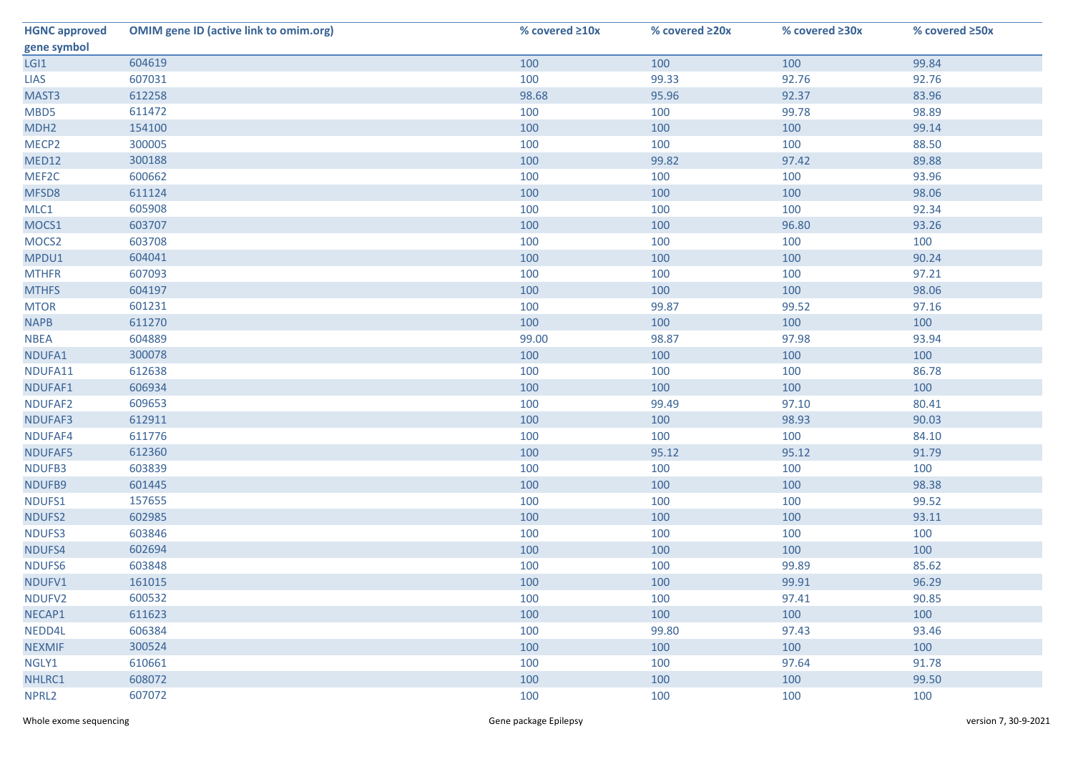| <b>HGNC approved</b> | <b>OMIM gene ID (active link to omim.org)</b> | % covered ≥10x | % covered ≥20x | % covered $\geq 30x$ | % covered ≥50x |
|----------------------|-----------------------------------------------|----------------|----------------|----------------------|----------------|
| gene symbol          |                                               |                |                |                      |                |
| LGI1                 | 604619                                        | 100            | 100            | 100                  | 99.84          |
| <b>LIAS</b>          | 607031                                        | 100            | 99.33          | 92.76                | 92.76          |
| MAST3                | 612258                                        | 98.68          | 95.96          | 92.37                | 83.96          |
| MBD5                 | 611472                                        | 100            | 100            | 99.78                | 98.89          |
| MDH <sub>2</sub>     | 154100                                        | 100            | 100            | 100                  | 99.14          |
| MECP <sub>2</sub>    | 300005                                        | 100            | 100            | 100                  | 88.50          |
| <b>MED12</b>         | 300188                                        | 100            | 99.82          | 97.42                | 89.88          |
| MEF2C                | 600662                                        | 100            | 100            | 100                  | 93.96          |
| MFSD8                | 611124                                        | 100            | 100            | 100                  | 98.06          |
| MLC1                 | 605908                                        | 100            | 100            | 100                  | 92.34          |
| MOCS1                | 603707                                        | 100            | 100            | 96.80                | 93.26          |
| MOCS <sub>2</sub>    | 603708                                        | 100            | 100            | 100                  | 100            |
| MPDU1                | 604041                                        | 100            | 100            | 100                  | 90.24          |
| <b>MTHFR</b>         | 607093                                        | 100            | 100            | 100                  | 97.21          |
| <b>MTHFS</b>         | 604197                                        | 100            | 100            | 100                  | 98.06          |
| <b>MTOR</b>          | 601231                                        | 100            | 99.87          | 99.52                | 97.16          |
| <b>NAPB</b>          | 611270                                        | 100            | 100            | 100                  | 100            |
| <b>NBEA</b>          | 604889                                        | 99.00          | 98.87          | 97.98                | 93.94          |
| NDUFA1               | 300078                                        | 100            | 100            | 100                  | 100            |
| NDUFA11              | 612638                                        | 100            | 100            | 100                  | 86.78          |
| NDUFAF1              | 606934                                        | 100            | 100            | 100                  | 100            |
| NDUFAF2              | 609653                                        | 100            | 99.49          | 97.10                | 80.41          |
| NDUFAF3              | 612911                                        | 100            | 100            | 98.93                | 90.03          |
| NDUFAF4              | 611776                                        | 100            | 100            | 100                  | 84.10          |
| NDUFAF5              | 612360                                        | 100            | 95.12          | 95.12                | 91.79          |
| NDUFB3               | 603839                                        | 100            | 100            | 100                  | 100            |
| NDUFB9               | 601445                                        | 100            | 100            | 100                  | 98.38          |
| NDUFS1               | 157655                                        | 100            | 100            | 100                  | 99.52          |
| NDUFS2               | 602985                                        | 100            | 100            | 100                  | 93.11          |
| NDUFS3               | 603846                                        | 100            | 100            | 100                  | 100            |
| NDUFS4               | 602694                                        | 100            | 100            | 100                  | 100            |
| NDUFS6               | 603848                                        | 100            | 100            | 99.89                | 85.62          |
| NDUFV1               | 161015                                        | 100            | 100            | 99.91                | 96.29          |
| NDUFV2               | 600532                                        | 100            | 100            | 97.41                | 90.85          |
| NECAP1               | 611623                                        | 100            | 100            | 100                  | 100            |
| NEDD4L               | 606384                                        | 100            | 99.80          | 97.43                | 93.46          |
| <b>NEXMIF</b>        | 300524                                        | 100            | 100            | 100                  | 100            |
| NGLY1                | 610661                                        | 100            | 100            | 97.64                | 91.78          |
| NHLRC1               | 608072                                        | 100            | 100            | 100                  | 99.50          |
| NPRL <sub>2</sub>    | 607072                                        | 100            | 100            | 100                  | 100            |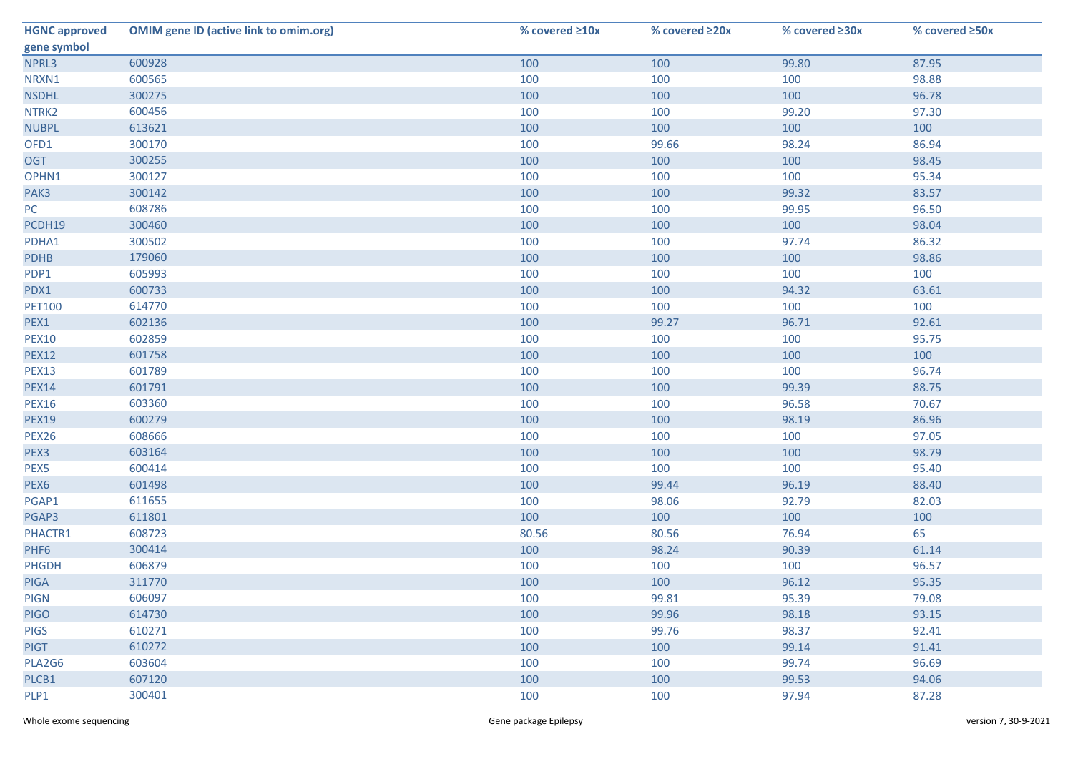| <b>HGNC approved</b> | <b>OMIM gene ID (active link to omim.org)</b> | % covered ≥10x | % covered ≥20x | % covered $\geq 30x$ | % covered ≥50x |
|----------------------|-----------------------------------------------|----------------|----------------|----------------------|----------------|
| gene symbol          |                                               |                |                |                      |                |
| NPRL3                | 600928                                        | 100            | 100            | 99.80                | 87.95          |
| NRXN1                | 600565                                        | 100            | 100            | 100                  | 98.88          |
| <b>NSDHL</b>         | 300275                                        | 100            | 100            | 100                  | 96.78          |
| NTRK2                | 600456                                        | 100            | 100            | 99.20                | 97.30          |
| <b>NUBPL</b>         | 613621                                        | 100            | 100            | 100                  | 100            |
| OFD1                 | 300170                                        | 100            | 99.66          | 98.24                | 86.94          |
| <b>OGT</b>           | 300255                                        | 100            | 100            | 100                  | 98.45          |
| OPHN1                | 300127                                        | 100            | 100            | 100                  | 95.34          |
| PAK3                 | 300142                                        | 100            | 100            | 99.32                | 83.57          |
| PC                   | 608786                                        | 100            | 100            | 99.95                | 96.50          |
| PCDH19               | 300460                                        | 100            | 100            | 100                  | 98.04          |
| PDHA1                | 300502                                        | 100            | 100            | 97.74                | 86.32          |
| <b>PDHB</b>          | 179060                                        | 100            | 100            | 100                  | 98.86          |
| PDP1                 | 605993                                        | 100            | 100            | 100                  | 100            |
| PDX1                 | 600733                                        | 100            | 100            | 94.32                | 63.61          |
| <b>PET100</b>        | 614770                                        | 100            | 100            | 100                  | 100            |
| PEX1                 | 602136                                        | 100            | 99.27          | 96.71                | 92.61          |
| <b>PEX10</b>         | 602859                                        | 100            | 100            | 100                  | 95.75          |
| <b>PEX12</b>         | 601758                                        | 100            | 100            | 100                  | 100            |
| <b>PEX13</b>         | 601789                                        | 100            | 100            | 100                  | 96.74          |
| <b>PEX14</b>         | 601791                                        | 100            | 100            | 99.39                | 88.75          |
| <b>PEX16</b>         | 603360                                        | 100            | 100            | 96.58                | 70.67          |
| <b>PEX19</b>         | 600279                                        | 100            | 100            | 98.19                | 86.96          |
| PEX26                | 608666                                        | 100            | 100            | 100                  | 97.05          |
| PEX3                 | 603164                                        | 100            | 100            | 100                  | 98.79          |
| PEX5                 | 600414                                        | 100            | 100            | 100                  | 95.40          |
| PEX6                 | 601498                                        | 100            | 99.44          | 96.19                | 88.40          |
| PGAP1                | 611655                                        | 100            | 98.06          | 92.79                | 82.03          |
| PGAP3                | 611801                                        | 100            | 100            | 100                  | 100            |
| PHACTR1              | 608723                                        | 80.56          | 80.56          | 76.94                | 65             |
| PHF6                 | 300414                                        | 100            | 98.24          | 90.39                | 61.14          |
| <b>PHGDH</b>         | 606879                                        | 100            | 100            | 100                  | 96.57          |
| <b>PIGA</b>          | 311770                                        | 100            | 100            | 96.12                | 95.35          |
| <b>PIGN</b>          | 606097                                        | 100            | 99.81          | 95.39                | 79.08          |
| <b>PIGO</b>          | 614730                                        | 100            | 99.96          | 98.18                | 93.15          |
| <b>PIGS</b>          | 610271                                        | 100            | 99.76          | 98.37                | 92.41          |
| <b>PIGT</b>          | 610272                                        | 100            | 100            | 99.14                | 91.41          |
| PLA2G6               | 603604                                        | 100            | 100            | 99.74                | 96.69          |
| PLCB1                | 607120                                        | 100            | 100            | 99.53                | 94.06          |
| PLP1                 | 300401                                        | 100            | 100            | 97.94                | 87.28          |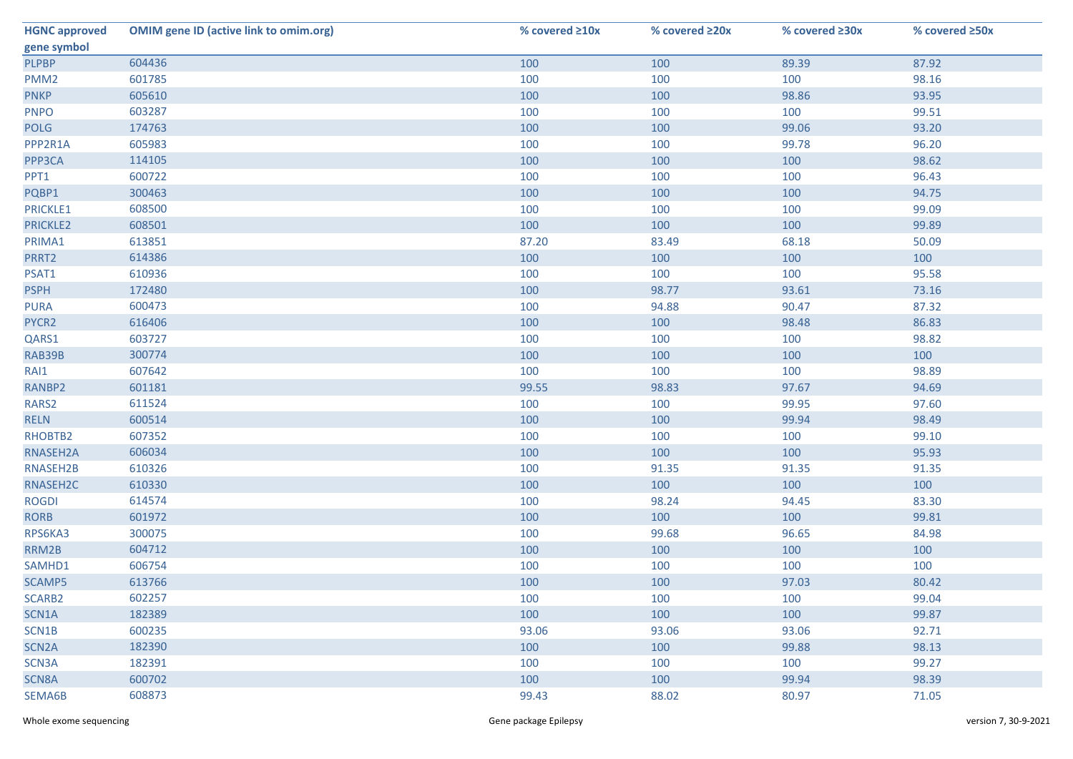| <b>HGNC approved</b> | <b>OMIM gene ID (active link to omim.org)</b> | % covered ≥10x | % covered ≥20x | % covered ≥30x | % covered ≥50x |
|----------------------|-----------------------------------------------|----------------|----------------|----------------|----------------|
| gene symbol          |                                               |                |                |                |                |
| <b>PLPBP</b>         | 604436                                        | 100            | 100            | 89.39          | 87.92          |
| PMM <sub>2</sub>     | 601785                                        | 100            | 100            | 100            | 98.16          |
| <b>PNKP</b>          | 605610                                        | 100            | 100            | 98.86          | 93.95          |
| <b>PNPO</b>          | 603287                                        | 100            | 100            | 100            | 99.51          |
| <b>POLG</b>          | 174763                                        | 100            | 100            | 99.06          | 93.20          |
| PPP2R1A              | 605983                                        | 100            | 100            | 99.78          | 96.20          |
| PPP3CA               | 114105                                        | 100            | 100            | 100            | 98.62          |
| PPT1                 | 600722                                        | 100            | 100            | 100            | 96.43          |
| PQBP1                | 300463                                        | 100            | 100            | 100            | 94.75          |
| PRICKLE1             | 608500                                        | 100            | 100            | 100            | 99.09          |
| PRICKLE2             | 608501                                        | 100            | 100            | 100            | 99.89          |
| PRIMA1               | 613851                                        | 87.20          | 83.49          | 68.18          | 50.09          |
| PRRT2                | 614386                                        | 100            | 100            | 100            | 100            |
| PSAT1                | 610936                                        | 100            | 100            | 100            | 95.58          |
| <b>PSPH</b>          | 172480                                        | 100            | 98.77          | 93.61          | 73.16          |
| <b>PURA</b>          | 600473                                        | 100            | 94.88          | 90.47          | 87.32          |
| PYCR2                | 616406                                        | 100            | 100            | 98.48          | 86.83          |
| QARS1                | 603727                                        | 100            | 100            | 100            | 98.82          |
| RAB39B               | 300774                                        | 100            | 100            | 100            | 100            |
| RAI1                 | 607642                                        | 100            | 100            | 100            | 98.89          |
| RANBP2               | 601181                                        | 99.55          | 98.83          | 97.67          | 94.69          |
| RARS2                | 611524                                        | 100            | 100            | 99.95          | 97.60          |
| <b>RELN</b>          | 600514                                        | 100            | 100            | 99.94          | 98.49          |
| RHOBTB2              | 607352                                        | 100            | 100            | 100            | 99.10          |
| RNASEH2A             | 606034                                        | 100            | 100            | 100            | 95.93          |
| RNASEH2B             | 610326                                        | 100            | 91.35          | 91.35          | 91.35          |
| RNASEH2C             | 610330                                        | 100            | 100            | 100            | 100            |
| <b>ROGDI</b>         | 614574                                        | 100            | 98.24          | 94.45          | 83.30          |
| <b>RORB</b>          | 601972                                        | 100            | 100            | 100            | 99.81          |
| RPS6KA3              | 300075                                        | 100            | 99.68          | 96.65          | 84.98          |
| RRM2B                | 604712                                        | 100            | 100            | 100            | 100            |
| SAMHD1               | 606754                                        | 100            | 100            | 100            | 100            |
| SCAMP5               | 613766                                        | 100            | 100            | 97.03          | 80.42          |
| SCARB2               | 602257                                        | 100            | 100            | 100            | 99.04          |
| SCN1A                | 182389                                        | 100            | 100            | 100            | 99.87          |
| SCN1B                | 600235                                        | 93.06          | 93.06          | 93.06          | 92.71          |
| SCN <sub>2</sub> A   | 182390                                        | 100            | 100            | 99.88          | 98.13          |
| SCN3A                | 182391                                        | 100            | 100            | 100            | 99.27          |
| SCN8A                | 600702                                        | 100            | 100            | 99.94          | 98.39          |
| SEMA6B               | 608873                                        | 99.43          | 88.02          | 80.97          | 71.05          |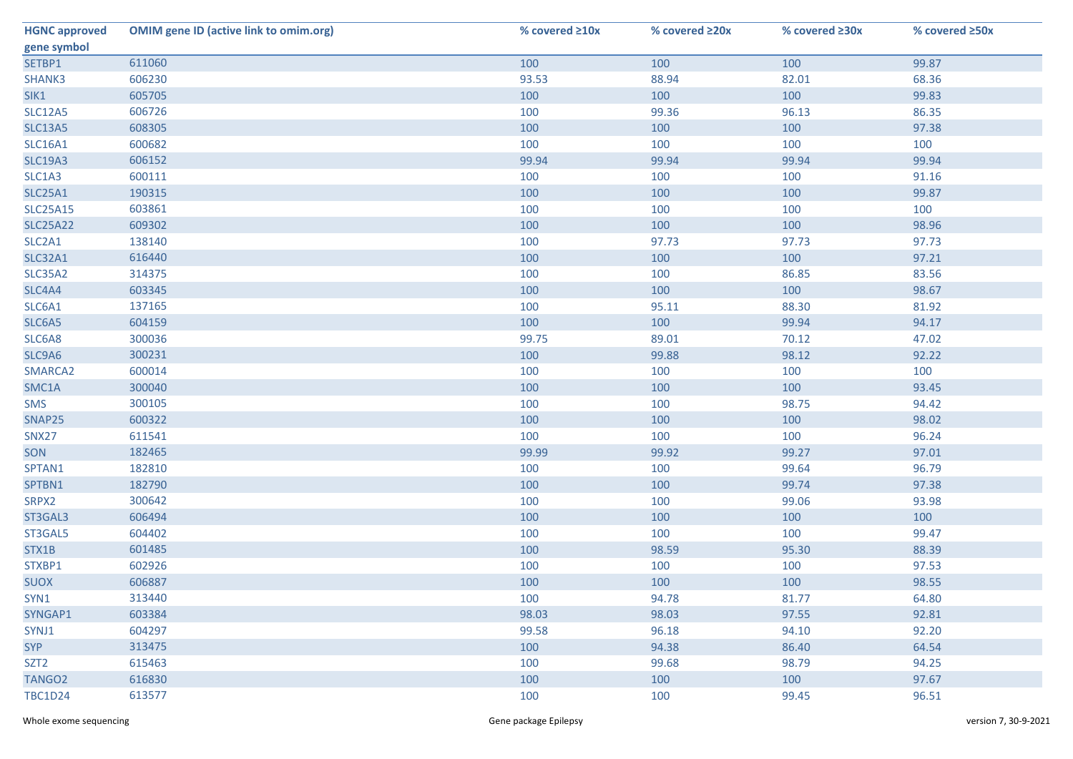| <b>HGNC approved</b> | <b>OMIM gene ID (active link to omim.org)</b> | % covered ≥10x | % covered ≥20x | % covered ≥30x | % covered ≥50x |
|----------------------|-----------------------------------------------|----------------|----------------|----------------|----------------|
| gene symbol          |                                               |                |                |                |                |
| SETBP1               | 611060                                        | 100            | 100            | 100            | 99.87          |
| SHANK3               | 606230                                        | 93.53          | 88.94          | 82.01          | 68.36          |
| SIK1                 | 605705                                        | 100            | 100            | 100            | 99.83          |
| <b>SLC12A5</b>       | 606726                                        | 100            | 99.36          | 96.13          | 86.35          |
| <b>SLC13A5</b>       | 608305                                        | 100            | 100            | 100            | 97.38          |
| <b>SLC16A1</b>       | 600682                                        | 100            | 100            | 100            | 100            |
| <b>SLC19A3</b>       | 606152                                        | 99.94          | 99.94          | 99.94          | 99.94          |
| SLC1A3               | 600111                                        | 100            | 100            | 100            | 91.16          |
| <b>SLC25A1</b>       | 190315                                        | 100            | 100            | 100            | 99.87          |
| <b>SLC25A15</b>      | 603861                                        | 100            | 100            | 100            | 100            |
| <b>SLC25A22</b>      | 609302                                        | 100            | 100            | 100            | 98.96          |
| SLC2A1               | 138140                                        | 100            | 97.73          | 97.73          | 97.73          |
| <b>SLC32A1</b>       | 616440                                        | 100            | 100            | 100            | 97.21          |
| <b>SLC35A2</b>       | 314375                                        | 100            | 100            | 86.85          | 83.56          |
| SLC4A4               | 603345                                        | 100            | 100            | 100            | 98.67          |
| SLC6A1               | 137165                                        | 100            | 95.11          | 88.30          | 81.92          |
| SLC6A5               | 604159                                        | 100            | 100            | 99.94          | 94.17          |
| SLC6A8               | 300036                                        | 99.75          | 89.01          | 70.12          | 47.02          |
| SLC9A6               | 300231                                        | 100            | 99.88          | 98.12          | 92.22          |
| SMARCA2              | 600014                                        | 100            | 100            | 100            | 100            |
| SMC1A                | 300040                                        | 100            | 100            | 100            | 93.45          |
| <b>SMS</b>           | 300105                                        | 100            | 100            | 98.75          | 94.42          |
| SNAP25               | 600322                                        | 100            | 100            | 100            | 98.02          |
| SNX27                | 611541                                        | 100            | 100            | 100            | 96.24          |
| SON                  | 182465                                        | 99.99          | 99.92          | 99.27          | 97.01          |
| SPTAN1               | 182810                                        | 100            | 100            | 99.64          | 96.79          |
| SPTBN1               | 182790                                        | 100            | 100            | 99.74          | 97.38          |
| SRPX2                | 300642                                        | 100            | 100            | 99.06          | 93.98          |
| ST3GAL3              | 606494                                        | 100            | 100            | 100            | 100            |
| ST3GAL5              | 604402                                        | 100            | 100            | 100            | 99.47          |
| STX1B                | 601485                                        | 100            | 98.59          | 95.30          | 88.39          |
| STXBP1               | 602926                                        | 100            | 100            | 100            | 97.53          |
| <b>SUOX</b>          | 606887                                        | 100            | 100            | 100            | 98.55          |
| SYN1                 | 313440                                        | 100            | 94.78          | 81.77          | 64.80          |
| SYNGAP1              | 603384                                        | 98.03          | 98.03          | 97.55          | 92.81          |
| SYNJ1                | 604297                                        | 99.58          | 96.18          | 94.10          | 92.20          |
| <b>SYP</b>           | 313475                                        | 100            | 94.38          | 86.40          | 64.54          |
| SZT <sub>2</sub>     | 615463                                        | 100            | 99.68          | 98.79          | 94.25          |
| TANGO <sub>2</sub>   | 616830                                        | 100            | 100            | 100            | 97.67          |
| <b>TBC1D24</b>       | 613577                                        | 100            | 100            | 99.45          | 96.51          |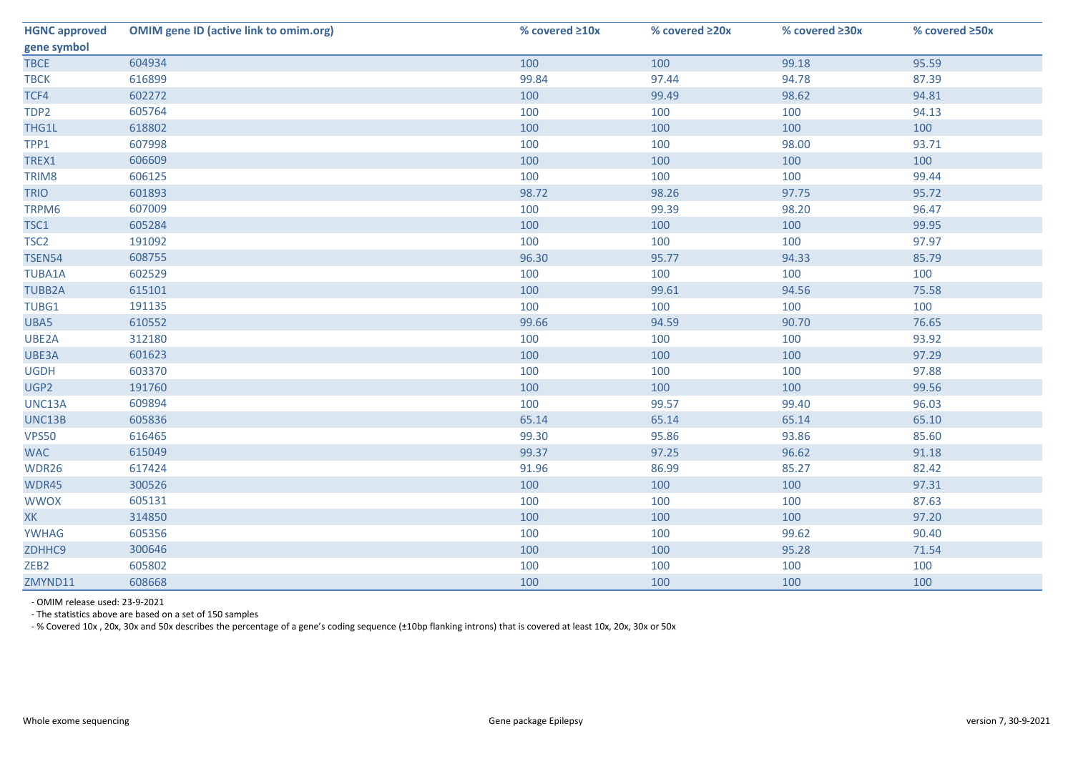| <b>HGNC approved</b> | <b>OMIM gene ID (active link to omim.org)</b> | % covered ≥10x | % covered ≥20x | % covered ≥30x | % covered ≥50x |
|----------------------|-----------------------------------------------|----------------|----------------|----------------|----------------|
| gene symbol          |                                               |                |                |                |                |
| <b>TBCE</b>          | 604934                                        | 100            | 100            | 99.18          | 95.59          |
| <b>TBCK</b>          | 616899                                        | 99.84          | 97.44          | 94.78          | 87.39          |
| TCF4                 | 602272                                        | 100            | 99.49          | 98.62          | 94.81          |
| TDP2                 | 605764                                        | 100            | 100            | 100            | 94.13          |
| THG1L                | 618802                                        | 100            | 100            | 100            | 100            |
| TPP1                 | 607998                                        | 100            | 100            | 98.00          | 93.71          |
| TREX1                | 606609                                        | 100            | 100            | 100            | 100            |
| TRIM8                | 606125                                        | 100            | 100            | 100            | 99.44          |
| <b>TRIO</b>          | 601893                                        | 98.72          | 98.26          | 97.75          | 95.72          |
| TRPM6                | 607009                                        | 100            | 99.39          | 98.20          | 96.47          |
| TSC1                 | 605284                                        | 100            | 100            | 100            | 99.95          |
| TSC <sub>2</sub>     | 191092                                        | 100            | 100            | 100            | 97.97          |
| <b>TSEN54</b>        | 608755                                        | 96.30          | 95.77          | 94.33          | 85.79          |
| <b>TUBA1A</b>        | 602529                                        | 100            | 100            | 100            | 100            |
| <b>TUBB2A</b>        | 615101                                        | 100            | 99.61          | 94.56          | 75.58          |
| TUBG1                | 191135                                        | 100            | 100            | 100            | 100            |
| UBA5                 | 610552                                        | 99.66          | 94.59          | 90.70          | 76.65          |
| UBE2A                | 312180                                        | 100            | 100            | 100            | 93.92          |
| UBE3A                | 601623                                        | 100            | 100            | 100            | 97.29          |
| <b>UGDH</b>          | 603370                                        | 100            | 100            | 100            | 97.88          |
| UGP2                 | 191760                                        | 100            | 100            | 100            | 99.56          |
| UNC13A               | 609894                                        | 100            | 99.57          | 99.40          | 96.03          |
| UNC13B               | 605836                                        | 65.14          | 65.14          | 65.14          | 65.10          |
| <b>VPS50</b>         | 616465                                        | 99.30          | 95.86          | 93.86          | 85.60          |
| <b>WAC</b>           | 615049                                        | 99.37          | 97.25          | 96.62          | 91.18          |
| WDR26                | 617424                                        | 91.96          | 86.99          | 85.27          | 82.42          |
| WDR45                | 300526                                        | 100            | 100            | 100            | 97.31          |
| <b>WWOX</b>          | 605131                                        | 100            | 100            | 100            | 87.63          |
| <b>XK</b>            | 314850                                        | 100            | 100            | 100            | 97.20          |
| <b>YWHAG</b>         | 605356                                        | 100            | 100            | 99.62          | 90.40          |
| ZDHHC9               | 300646                                        | 100            | 100            | 95.28          | 71.54          |
| ZEB <sub>2</sub>     | 605802                                        | 100            | 100            | 100            | 100            |
| ZMYND11              | 608668                                        | 100            | 100            | 100            | 100            |

- OMIM release used: 23-9-2021

- The statistics above are based on a set of 150 samples

- % Covered 10x , 20x, 30x and 50x describes the percentage of a gene's coding sequence (±10bp flanking introns) that is covered at least 10x, 20x, 30x or 50x